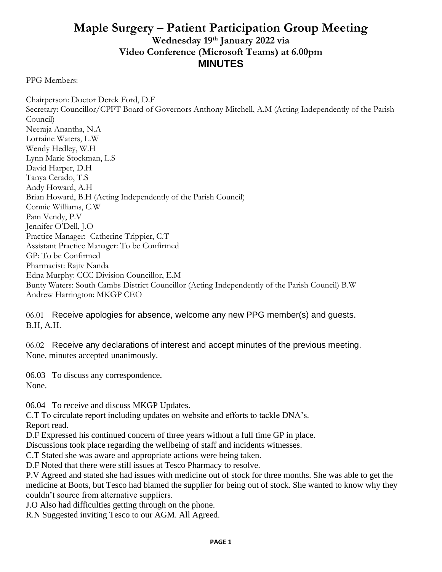## **Maple Surgery – Patient Participation Group Meeting Wednesday 19 th January 2022 via Video Conference (Microsoft Teams) at 6.00pm MINUTES**

PPG Members:

Chairperson: Doctor Derek Ford, D.F Secretary: Councillor/CPFT Board of Governors Anthony Mitchell, A.M (Acting Independently of the Parish Council) Neeraja Anantha, N.A Lorraine Waters, L.W Wendy Hedley, W.H Lynn Marie Stockman, L.S David Harper, D.H Tanya Cerado, T.S Andy Howard, A.H Brian Howard, B.H (Acting Independently of the Parish Council) Connie Williams, C.W Pam Vendy, P.V Jennifer O'Dell, J.O Practice Manager: Catherine Trippier, C.T Assistant Practice Manager: To be Confirmed GP: To be Confirmed Pharmacist: Rajiv Nanda Edna Murphy: CCC Division Councillor, E.M Bunty Waters: South Cambs District Councillor (Acting Independently of the Parish Council) B.W Andrew Harrington: MKGP CEO

06.01 Receive apologies for absence, welcome any new PPG member(s) and guests. B.H, A.H.

06.02 Receive any declarations of interest and accept minutes of the previous meeting. None, minutes accepted unanimously.

06.03 To discuss any correspondence. None.

06.04 To receive and discuss MKGP Updates.

C.T To circulate report including updates on website and efforts to tackle DNA's. Report read.

D.F Expressed his continued concern of three years without a full time GP in place.

Discussions took place regarding the wellbeing of staff and incidents witnesses.

C.T Stated she was aware and appropriate actions were being taken.

D.F Noted that there were still issues at Tesco Pharmacy to resolve.

P.V Agreed and stated she had issues with medicine out of stock for three months. She was able to get the medicine at Boots, but Tesco had blamed the supplier for being out of stock. She wanted to know why they couldn't source from alternative suppliers.

J.O Also had difficulties getting through on the phone.

R.N Suggested inviting Tesco to our AGM. All Agreed.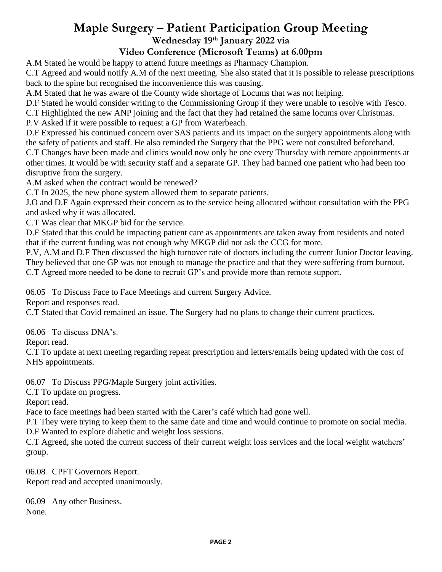## **Maple Surgery – Patient Participation Group Meeting Wednesday 19 th January 2022 via**

## **Video Conference (Microsoft Teams) at 6.00pm**

A.M Stated he would be happy to attend future meetings as Pharmacy Champion.

C.T Agreed and would notify A.M of the next meeting. She also stated that it is possible to release prescriptions back to the spine but recognised the inconvenience this was causing.

A.M Stated that he was aware of the County wide shortage of Locums that was not helping.

D.F Stated he would consider writing to the Commissioning Group if they were unable to resolve with Tesco.

C.T Highlighted the new ANP joining and the fact that they had retained the same locums over Christmas.

P.V Asked if it were possible to request a GP from Waterbeach.

D.F Expressed his continued concern over SAS patients and its impact on the surgery appointments along with the safety of patients and staff. He also reminded the Surgery that the PPG were not consulted beforehand.

C.T Changes have been made and clinics would now only be one every Thursday with remote appointments at other times. It would be with security staff and a separate GP. They had banned one patient who had been too disruptive from the surgery.

A.M asked when the contract would be renewed?

C.T In 2025, the new phone system allowed them to separate patients.

J.O and D.F Again expressed their concern as to the service being allocated without consultation with the PPG and asked why it was allocated.

C.T Was clear that MKGP bid for the service.

D.F Stated that this could be impacting patient care as appointments are taken away from residents and noted that if the current funding was not enough why MKGP did not ask the CCG for more.

P.V, A.M and D.F Then discussed the high turnover rate of doctors including the current Junior Doctor leaving. They believed that one GP was not enough to manage the practice and that they were suffering from burnout. C.T Agreed more needed to be done to recruit GP's and provide more than remote support.

06.05 To Discuss Face to Face Meetings and current Surgery Advice.

Report and responses read.

C.T Stated that Covid remained an issue. The Surgery had no plans to change their current practices.

06.06 To discuss DNA's.

Report read.

C.T To update at next meeting regarding repeat prescription and letters/emails being updated with the cost of NHS appointments.

06.07 To Discuss PPG/Maple Surgery joint activities.

C.T To update on progress.

Report read.

Face to face meetings had been started with the Carer's café which had gone well.

P.T They were trying to keep them to the same date and time and would continue to promote on social media. D.F Wanted to explore diabetic and weight loss sessions.

C.T Agreed, she noted the current success of their current weight loss services and the local weight watchers' group.

06.08 CPFT Governors Report. Report read and accepted unanimously.

06.09 Any other Business. None.